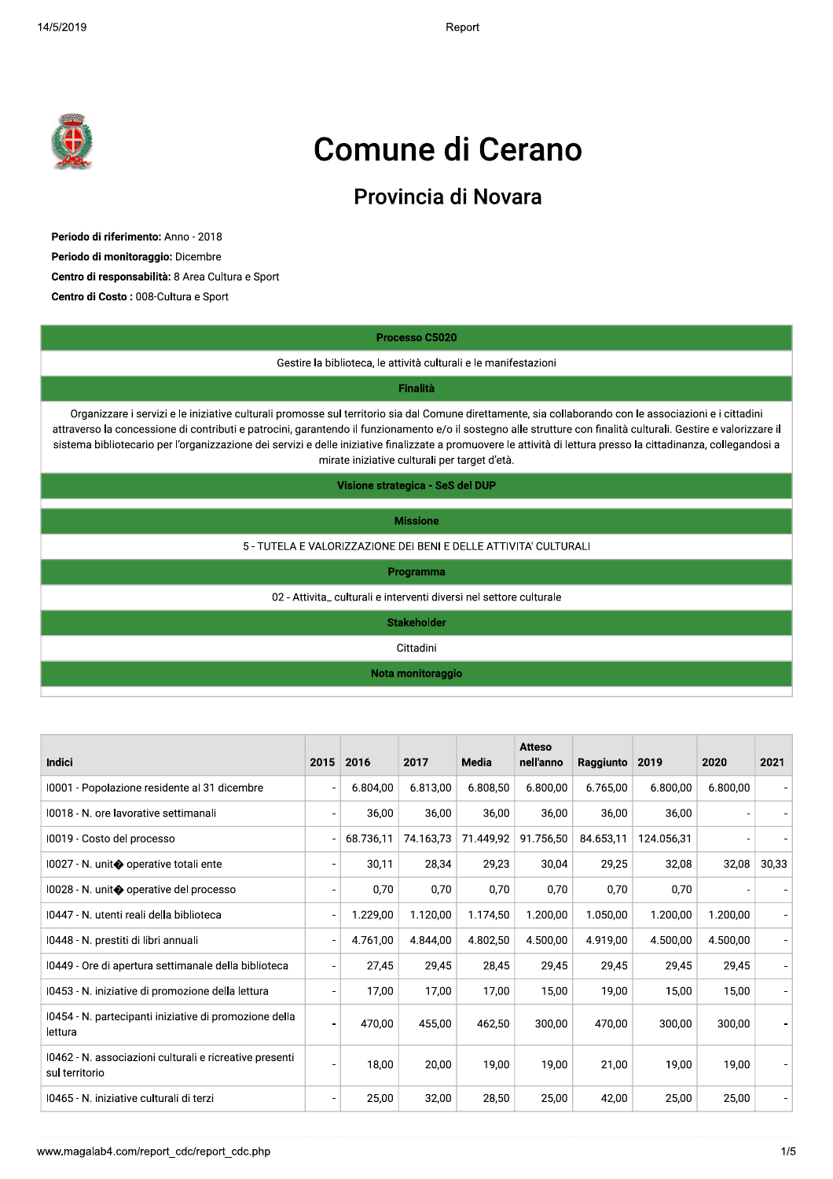

## Comune di Cerano

## Provincia di Novara

8 Periodo di riferimento: Anno - 2018<br>
8 Periodo di monitoraggio: Dicembre<br>
8 Centro di responsabilità: 8 Area Cultura e Sport<br>
8 Centro di Costo : 008-Cultura e Sport<br>
8 Cestire la biblioteca, le Gestire la biblioteca, le

|                                                                                                                                                                                                                                                                                                                                                                                                                                                                                                 |                |           | Processo C5020                                                     |          |                     |                |            |          |               |
|-------------------------------------------------------------------------------------------------------------------------------------------------------------------------------------------------------------------------------------------------------------------------------------------------------------------------------------------------------------------------------------------------------------------------------------------------------------------------------------------------|----------------|-----------|--------------------------------------------------------------------|----------|---------------------|----------------|------------|----------|---------------|
|                                                                                                                                                                                                                                                                                                                                                                                                                                                                                                 |                |           | Gestire la biblioteca, le attività culturali e le manifestazioni   |          |                     |                |            |          |               |
|                                                                                                                                                                                                                                                                                                                                                                                                                                                                                                 |                |           | <b>Finalità</b>                                                    |          |                     |                |            |          |               |
| Organizzare i servizi e le iniziative culturali promosse sul territorio sia dal Comune direttamente, sia collaborando con le associazioni e i cittadini<br>attraverso la concessione di contributi e patrocini, garantendo il funzionamento e/o il sostegno alle strutture con finalità culturali. Gestire e valorizzare il<br>sistema bibliotecario per l'organizzazione dei servizi e delle iniziative finalizzate a promuovere le attività di lettura presso la cittadinanza, collegandosi a |                |           | mirate iniziative culturali per target d'età.                      |          |                     |                |            |          |               |
|                                                                                                                                                                                                                                                                                                                                                                                                                                                                                                 |                |           | Visione strategica - SeS del DUP                                   |          |                     |                |            |          |               |
|                                                                                                                                                                                                                                                                                                                                                                                                                                                                                                 |                |           | <b>Missione</b>                                                    |          |                     |                |            |          |               |
| 5 - TUTELA E VALORIZZAZIONE DEI BENI E DELLE ATTIVITA' CULTURALI                                                                                                                                                                                                                                                                                                                                                                                                                                |                |           |                                                                    |          |                     |                |            |          |               |
|                                                                                                                                                                                                                                                                                                                                                                                                                                                                                                 |                |           | Programma                                                          |          |                     |                |            |          |               |
|                                                                                                                                                                                                                                                                                                                                                                                                                                                                                                 |                |           | 02 - Attivita culturali e interventi diversi nel settore culturale |          |                     |                |            |          |               |
|                                                                                                                                                                                                                                                                                                                                                                                                                                                                                                 |                |           | <b>Stakeholder</b>                                                 |          |                     |                |            |          |               |
|                                                                                                                                                                                                                                                                                                                                                                                                                                                                                                 |                |           | Cittadini                                                          |          |                     |                |            |          |               |
|                                                                                                                                                                                                                                                                                                                                                                                                                                                                                                 |                |           |                                                                    |          |                     |                |            |          |               |
|                                                                                                                                                                                                                                                                                                                                                                                                                                                                                                 |                |           | Nota monitoraggio                                                  |          | Atteso              |                |            |          |               |
| Indici                                                                                                                                                                                                                                                                                                                                                                                                                                                                                          | 2015 2016      |           | 2017                                                               | Media    | nell'anno           | Raggiunto 2019 |            | 2020     |               |
| 10001 - Popolazione residente al 31 dicembre                                                                                                                                                                                                                                                                                                                                                                                                                                                    |                | 6.804,00  | 6.813,00                                                           | 6.808,50 | 6.800,00            | 6.765,00       | 6.800,00   | 6.800,00 |               |
| 10018 - N. ore lavorative settimanali                                                                                                                                                                                                                                                                                                                                                                                                                                                           |                | 36,00     | 36,00                                                              | 36,00    | 36,00               | 36,00          | 36,00      |          |               |
| 10019 - Costo del processo                                                                                                                                                                                                                                                                                                                                                                                                                                                                      |                | 68.736,11 | 74.163,73                                                          |          | 71.449,92 91.756,50 | 84.653,11      | 124.056,31 |          |               |
| 10027 - N. unit◆ operative totali ente                                                                                                                                                                                                                                                                                                                                                                                                                                                          |                | 30,11     | 28,34                                                              | 29,23    | 30,04               | 29,25          | 32,08      | 32,08    |               |
| 10028 - N. unit◆ operative del processo                                                                                                                                                                                                                                                                                                                                                                                                                                                         |                | 0,70      | 0,70                                                               | 0,70     | 0,70                | 0,70           | 0,70       |          |               |
| 10447 - N. utenti reali della biblioteca                                                                                                                                                                                                                                                                                                                                                                                                                                                        |                | 1.229,00  | 1.120,00                                                           | 1.174,50 | 1.200,00            | 1.050,00       | 1.200,00   | 1.200,00 | 2021<br>30,33 |
| 10448 - N. prestiti di libri annuali                                                                                                                                                                                                                                                                                                                                                                                                                                                            |                | 4.761,00  | 4.844,00                                                           | 4.802,50 | 4.500,00            | 4.919,00       | 4.500,00   | 4.500,00 |               |
| 10449 - Ore di apertura settimanale della biblioteca                                                                                                                                                                                                                                                                                                                                                                                                                                            | $\overline{a}$ | 27,45     | 29,45                                                              | 28,45    | 29,45               | 29,45          | 29,45      | 29,45    |               |
| 10453 - N. iniziative di promozione della lettura                                                                                                                                                                                                                                                                                                                                                                                                                                               |                | 17,00     | 17,00                                                              | 17,00    | 15,00               | 19,00          | 15,00      | 15,00    |               |
| 10454 - N. partecipanti iniziative di promozione della<br>lettura                                                                                                                                                                                                                                                                                                                                                                                                                               | Ĭ.             | 470,00    | 455,00                                                             | 462,50   | 300,00              | 470,00         | 300,00     | 300,00   |               |
| 10462 - N. associazioni culturali e ricreative presenti<br>sul territorio                                                                                                                                                                                                                                                                                                                                                                                                                       | ä,             | 18,00     | 20,00                                                              | 19,00    | 19,00               | 21,00          | 19,00      | 19,00    |               |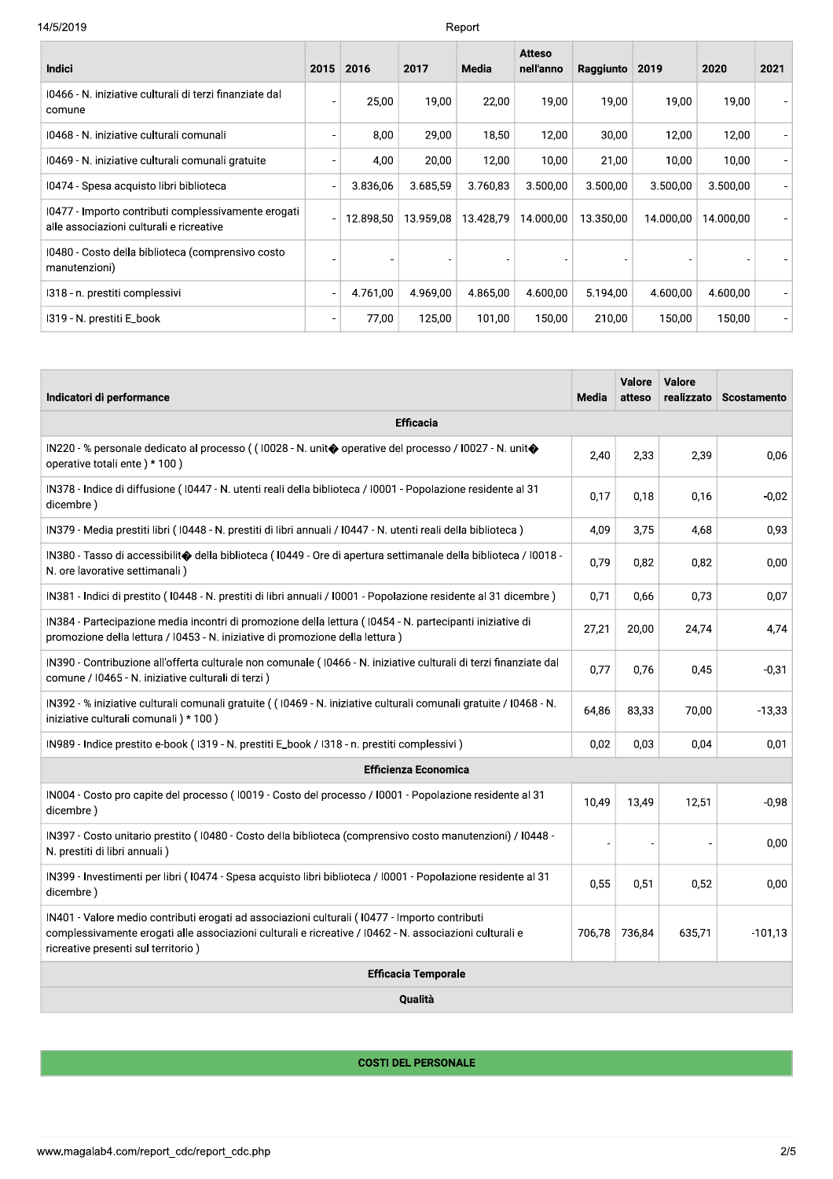| 14/5/2019                                                                                       |                          |           |                          | Report       |                            |           |           |           |      |
|-------------------------------------------------------------------------------------------------|--------------------------|-----------|--------------------------|--------------|----------------------------|-----------|-----------|-----------|------|
| Indici                                                                                          | 2015                     | 2016      | 2017                     | <b>Media</b> | <b>Atteso</b><br>nell'anno | Raggiunto | 2019      | 2020      | 2021 |
| 10466 - N. iniziative culturali di terzi finanziate dal<br>comune                               |                          | 25,00     | 19,00                    | 22,00        | 19,00                      | 19,00     | 19,00     | 19,00     |      |
| 10468 - N. iniziative culturali comunali                                                        |                          | 8,00      | 29,00                    | 18,50        | 12,00                      | 30,00     | 12,00     | 12,00     |      |
| 10469 - N. iniziative culturali comunali gratuite                                               |                          | 4,00      | 20,00                    | 12,00        | 10,00                      | 21,00     | 10,00     | 10,00     |      |
| 10474 - Spesa acquisto libri biblioteca                                                         |                          | 3.836,06  | 3.685.59                 | 3.760,83     | 3.500,00                   | 3.500,00  | 3.500,00  | 3.500,00  |      |
| 10477 - Importo contributi complessivamente erogati<br>alle associazioni culturali e ricreative |                          | 12.898,50 | 13.959,08                | 13.428,79    | 14.000,00                  | 13.350,00 | 14.000,00 | 14.000,00 |      |
| 10480 - Costo della biblioteca (comprensivo costo<br>manutenzioni)                              |                          |           | $\overline{\phantom{a}}$ |              |                            |           |           |           |      |
| I318 - n. prestiti complessivi                                                                  | $\overline{\phantom{a}}$ | 4.761,00  | 4.969,00                 | 4.865,00     | 4.600,00                   | 5.194,00  | 4.600,00  | 4.600,00  |      |
| I319 - N. prestiti E_book                                                                       |                          | 77,00     | 125,00                   | 101,00       | 150,00                     | 210,00    | 150,00    | 150,00    |      |

|                                                                                                                                                                                                                                                 |                                                                                                                                                                                                                                                                                                                                                                                                                                    | 4.701,00 | 4.909,00                    | 4.000,00 | 4.000,00 | J. 194,00 |                  | 4.000,00             | 4.000,00 |             |
|-------------------------------------------------------------------------------------------------------------------------------------------------------------------------------------------------------------------------------------------------|------------------------------------------------------------------------------------------------------------------------------------------------------------------------------------------------------------------------------------------------------------------------------------------------------------------------------------------------------------------------------------------------------------------------------------|----------|-----------------------------|----------|----------|-----------|------------------|----------------------|----------|-------------|
| I319 - N. prestiti E_book                                                                                                                                                                                                                       |                                                                                                                                                                                                                                                                                                                                                                                                                                    | 77,00    | 125,00                      | 101,00   | 150,00   | 210,00    |                  | 150,00               | 150,00   |             |
|                                                                                                                                                                                                                                                 |                                                                                                                                                                                                                                                                                                                                                                                                                                    |          |                             |          |          |           |                  |                      |          |             |
| Indicatori di performance                                                                                                                                                                                                                       |                                                                                                                                                                                                                                                                                                                                                                                                                                    |          |                             |          |          | Media     | Valore<br>atteso | Valore<br>realizzato |          | Scostamento |
|                                                                                                                                                                                                                                                 |                                                                                                                                                                                                                                                                                                                                                                                                                                    |          | <b>Efficacia</b>            |          |          |           |                  |                      |          |             |
| IN220 - % personale dedicato al processo ((10028 - N. unit� operative del processo / 10027 - N. unit�<br>operative totali ente) * 100)                                                                                                          |                                                                                                                                                                                                                                                                                                                                                                                                                                    |          |                             |          |          | 2,40      | 2,33             | 2,39                 |          | 0,06        |
| IN378 - Indice di diffusione (10447 - N. utenti reali della biblioteca / 10001 - Popolazione residente al 31<br>dicembre)                                                                                                                       |                                                                                                                                                                                                                                                                                                                                                                                                                                    |          |                             |          |          | 0,17      | 0,18             | 0,16                 |          | $-0,02$     |
| IN379 - Media prestiti libri (10448 - N. prestiti di libri annuali / 10447 - N. utenti reali della biblioteca)                                                                                                                                  |                                                                                                                                                                                                                                                                                                                                                                                                                                    |          |                             |          |          | 4,09      | 3,75             | 4,68                 |          | 0,93        |
| IN380 - Tasso di accessibilit $\bigcirc$ della biblioteca (10449 - Ore di apertura settimanale della biblioteca / 10018 -<br>N. ore lavorative settimanali)                                                                                     |                                                                                                                                                                                                                                                                                                                                                                                                                                    |          |                             |          |          | 0,79      | 0,82             | 0,82                 |          | 0,00        |
|                                                                                                                                                                                                                                                 |                                                                                                                                                                                                                                                                                                                                                                                                                                    |          |                             |          |          | 0,71      | 0,66             | 0,73                 |          | 0,07        |
|                                                                                                                                                                                                                                                 | IN381 - Indici di prestito (10448 - N. prestiti di libri annuali / 10001 - Popolazione residente al 31 dicembre)<br>IN384 - Partecipazione media incontri di promozione della lettura (10454 - N. partecipanti iniziative di<br>promozione della lettura / I0453 - N. iniziative di promozione della lettura)<br>IN390 - Contribuzione all'offerta culturale non comunale (10466 - N. iniziative culturali di terzi finanziate dal |          |                             |          |          | 27,21     | 20,00            | 24,74                |          | 4,74        |
| comune / I0465 - N. iniziative culturali di terzi)                                                                                                                                                                                              |                                                                                                                                                                                                                                                                                                                                                                                                                                    |          |                             |          |          | 0,77      | 0,76             | 0,45                 |          | $-0,31$     |
| IN392 - % iniziative culturali comunali gratuite ((10469 - N. iniziative culturali comunali gratuite / I0468 - N.<br>iniziative culturali comunali) * 100)                                                                                      |                                                                                                                                                                                                                                                                                                                                                                                                                                    |          |                             |          |          | 64,86     | 83,33            | 70,00                |          | $-13,33$    |
| IN989 - Indice prestito e-book (1319 - N. prestiti E_book / I318 - n. prestiti complessivi)                                                                                                                                                     |                                                                                                                                                                                                                                                                                                                                                                                                                                    |          |                             |          |          | 0,02      | 0,03             | 0,04                 |          | 0,01        |
|                                                                                                                                                                                                                                                 |                                                                                                                                                                                                                                                                                                                                                                                                                                    |          | <b>Efficienza Economica</b> |          |          |           |                  |                      |          |             |
| IN004 - Costo pro capite del processo (10019 - Costo del processo / 10001 - Popolazione residente al 31<br>dicembre)                                                                                                                            |                                                                                                                                                                                                                                                                                                                                                                                                                                    |          |                             |          |          | 10,49     | 13,49            | 12,51                |          | $-0,98$     |
| IN397 - Costo unitario prestito (10480 - Costo della biblioteca (comprensivo costo manutenzioni) / 10448 -<br>N. prestiti di libri annuali)                                                                                                     |                                                                                                                                                                                                                                                                                                                                                                                                                                    |          |                             |          |          |           |                  |                      |          | 0,00        |
| IN399 - Investimenti per libri (10474 - Spesa acquisto libri biblioteca / 10001 - Popolazione residente al 31<br>dicembre )                                                                                                                     |                                                                                                                                                                                                                                                                                                                                                                                                                                    |          |                             |          |          | 0,55      | 0,51             | 0,52                 |          | 0,00        |
| IN401 - Valore medio contributi erogati ad associazioni culturali (10477 - Importo contributi<br>complessivamente erogati alle associazioni culturali e ricreative / I0462 - N. associazioni culturali e<br>ricreative presenti sul territorio) |                                                                                                                                                                                                                                                                                                                                                                                                                                    |          |                             |          |          |           | 706,78 736,84    | 635,71               |          | $-101,13$   |
|                                                                                                                                                                                                                                                 |                                                                                                                                                                                                                                                                                                                                                                                                                                    |          | <b>Efficacia Temporale</b>  |          |          |           |                  |                      |          |             |
|                                                                                                                                                                                                                                                 |                                                                                                                                                                                                                                                                                                                                                                                                                                    |          | Qualità                     |          |          |           |                  |                      |          |             |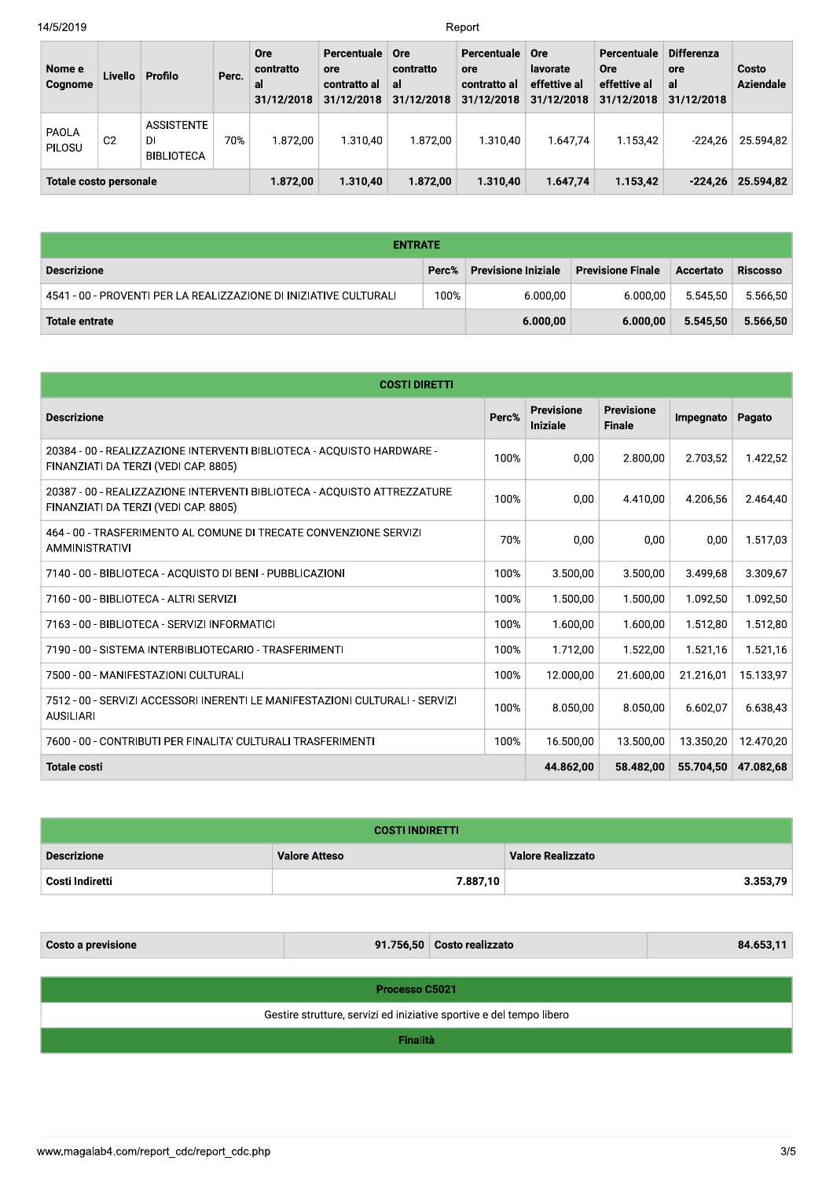Report

| Nome e<br>Cognome      | Livello        | Profilo                                      | Perc. | <b>Ore</b><br>contratto<br>al<br>31/12/2018 | Percentuale<br>ore<br>contratto al<br>31/12/2018 | Ore<br>contratto<br>al<br>31/12/2018 | Percentuale<br>ore<br>contratto al<br>31/12/2018 | <b>Ore</b><br>lavorate<br>effettive al<br>31/12/2018 | Percentuale<br><b>Ore</b><br>effettive al<br>31/12/2018 | <b>Differenza</b><br><b>ore</b><br>al<br>31/12/2018 | Costo<br>Aziendale |
|------------------------|----------------|----------------------------------------------|-------|---------------------------------------------|--------------------------------------------------|--------------------------------------|--------------------------------------------------|------------------------------------------------------|---------------------------------------------------------|-----------------------------------------------------|--------------------|
| PAOLA<br>PILOSU        | C <sub>2</sub> | <b>ASSISTENTE</b><br>DI<br><b>BIBLIOTECA</b> | 70%   | 1.872.00                                    | 1.310.40                                         | 1.872.00                             | 1.310.40                                         | 1.647.74                                             | 1.153.42                                                | $-224.26$                                           | 25.594.82          |
| Totale costo personale |                |                                              |       | 1.872,00                                    | 1.310.40                                         | 1.872.00                             | 1.310.40                                         | 1.647.74                                             | 1.153.42                                                | $-224.26$                                           | 25.594.82          |

| <b>ENTRATE</b>                                                    |       |                            |                          |           |                 |  |  |
|-------------------------------------------------------------------|-------|----------------------------|--------------------------|-----------|-----------------|--|--|
| <b>Descrizione</b>                                                | Perc% | <b>Previsione Iniziale</b> | <b>Previsione Finale</b> | Accertato | <b>Riscosso</b> |  |  |
| 4541 - 00 - PROVENTI PER LA REALIZZAZIONE DI INIZIATIVE CULTURALI | 100%  | 6.000,00                   | 6.000.00                 | 5.545.50  | 5.566.50        |  |  |
| Totale entrate                                                    |       | 6.000.00                   | 6.000.00                 | 5.545.50  | 5.566.50        |  |  |

| <b>COSTI DIRETTI</b>                                                                                             |       |                                      |                                    |           |           |
|------------------------------------------------------------------------------------------------------------------|-------|--------------------------------------|------------------------------------|-----------|-----------|
| <b>Descrizione</b>                                                                                               | Perc% | <b>Previsione</b><br><b>Iniziale</b> | <b>Previsione</b><br><b>Finale</b> | Impegnato | Pagato    |
| 20384 - 00 - REALIZZAZIONE INTERVENTI BIBLIOTECA - ACOUISTO HARDWARE -<br>FINANZIATI DA TERZI (VEDI CAP. 8805)   | 100%  | 0,00                                 | 2.800.00                           | 2.703.52  | 1.422,52  |
| 20387 - 00 - REALIZZAZIONE INTERVENTI BIBLIOTECA - ACOUISTO ATTREZZATURE<br>FINANZIATI DA TERZI (VEDI CAP. 8805) | 100%  | 0,00                                 | 4.410,00                           | 4.206,56  | 2.464,40  |
| 464 - 00 - TRASFERIMENTO AL COMUNE DI TRECATE CONVENZIONE SERVIZI<br><b>AMMINISTRATIVI</b>                       | 70%   | 0.00                                 | 0.00                               | 0.00      | 1.517,03  |
| 7140 - 00 - BIBLIOTECA - ACQUISTO DI BENI - PUBBLICAZIONI                                                        | 100%  | 3.500,00                             | 3.500.00                           | 3.499.68  | 3.309,67  |
| 7160 - 00 - BIBLIOTECA - ALTRI SERVIZI                                                                           | 100%  | 1.500,00                             | 1.500,00                           | 1.092,50  | 1.092,50  |
| 7163 - 00 - BIBLIOTECA - SERVIZI INFORMATICI                                                                     | 100%  | 1.600,00                             | 1.600,00                           | 1.512,80  | 1.512,80  |
| 7190 - 00 - SISTEMA INTERBIBLIOTECARIO - TRASFERIMENTI                                                           | 100%  | 1.712,00                             | 1.522,00                           | 1.521,16  | 1.521,16  |
| 7500 - 00 - MANIFESTAZIONI CULTURALI                                                                             | 100%  | 12.000.00                            | 21.600,00                          | 21.216,01 | 15.133,97 |
| 7512 - 00 - SERVIZI ACCESSORI INERENTI LE MANIFESTAZIONI CULTURALI - SERVIZI<br><b>AUSILIARI</b>                 | 100%  | 8.050.00                             | 8.050,00                           | 6.602.07  | 6.638,43  |
| 7600 - 00 - CONTRIBUTI PER FINALITA' CULTURALI TRASFERIMENTI                                                     | 100%  | 16.500,00                            | 13.500,00                          | 13.350,20 | 12.470,20 |
| <b>Totale costi</b>                                                                                              |       | 44.862,00                            | 58.482,00                          | 55.704.50 | 47.082,68 |

| <b>COSTI INDIRETTI</b> |                      |                          |  |  |  |  |
|------------------------|----------------------|--------------------------|--|--|--|--|
| <b>Descrizione</b>     | <b>Valore Atteso</b> | <b>Valore Realizzato</b> |  |  |  |  |
| Costi Indiretti        | 7.887,10             | 3.353,79                 |  |  |  |  |

| <b>Costo a previsione</b>                                            |  | 91.756,50 Costo realizzato | 84.653,11 |  |  |  |  |  |
|----------------------------------------------------------------------|--|----------------------------|-----------|--|--|--|--|--|
|                                                                      |  |                            |           |  |  |  |  |  |
| <b>Processo C5021</b>                                                |  |                            |           |  |  |  |  |  |
| Gestire strutture, servizi ed iniziative sportive e del tempo libero |  |                            |           |  |  |  |  |  |
| <b>Finalità</b>                                                      |  |                            |           |  |  |  |  |  |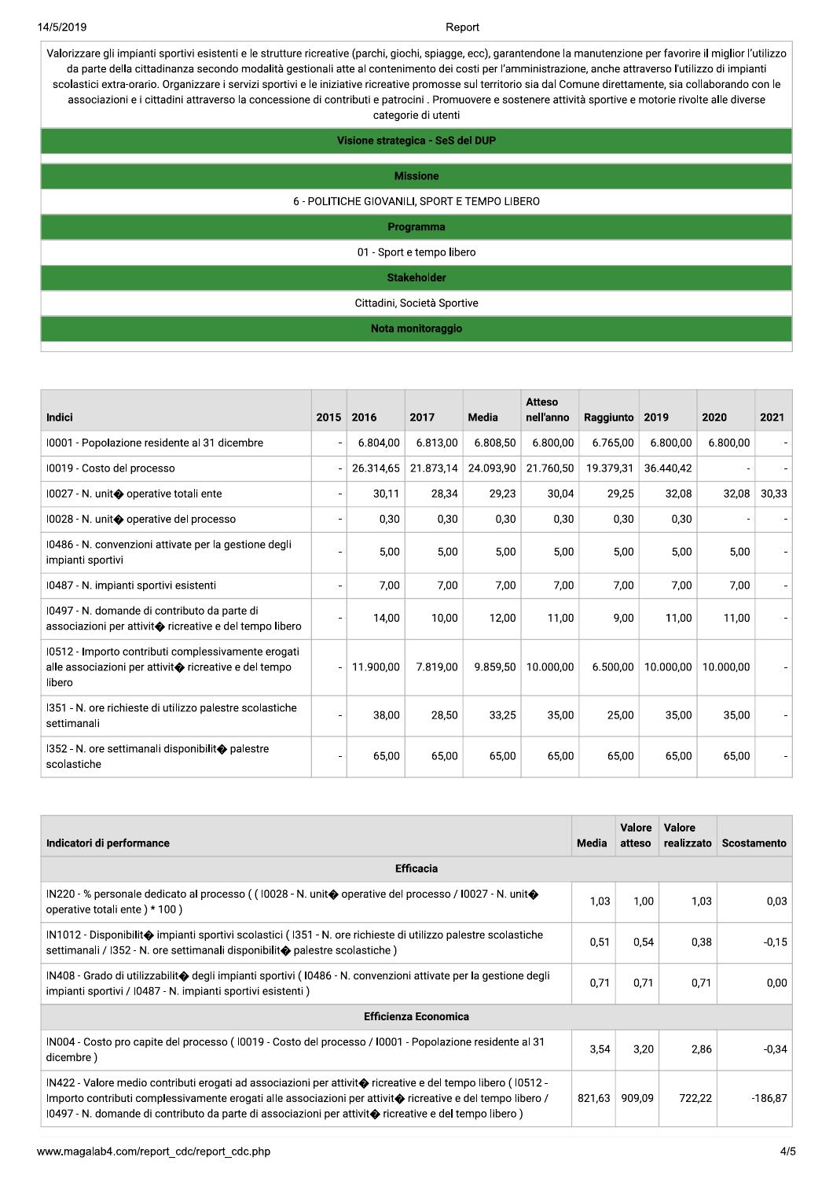Report

Valorizzare gli impianti sportivi esistenti e le strutture ricreative (parchi, giochi, spiagge, ecc), garantendone la manutenzione per favorire il miglior l'utilizzo da parte della cittadinanza secondo modalità gestionali atte al contenimento dei costi per l'amministrazione, anche attraverso l'utilizzo di impianti scolastici extra-orario. Organizzare i servizi sportivi e le iniziative ricreative promosse sul territorio sia dal Comune direttamente, sia collaborando con le associazioni e i cittadini attraverso la concessione di contributi e patrocini . Promuovere e sostenere attività sportive e motorie rivolte alle diverse categorie di utenti

| Visione strategica - SeS del DUP              |
|-----------------------------------------------|
| <b>Missione</b>                               |
|                                               |
| 6 - POLITICHE GIOVANILI, SPORT E TEMPO LIBERO |
| Programma                                     |
| 01 - Sport e tempo libero                     |
| <b>Stakeholder</b>                            |
| Cittadini, Società Sportive                   |
| Nota monitoraggio                             |

| <b>Indici</b>                                                                                                                   | 2015 | 2016      | 2017      | Media     | <b>Atteso</b><br>nell'anno | Raggiunto | 2019      | 2020      | 2021  |
|---------------------------------------------------------------------------------------------------------------------------------|------|-----------|-----------|-----------|----------------------------|-----------|-----------|-----------|-------|
| 10001 - Popolazione residente al 31 dicembre                                                                                    |      | 6.804.00  | 6.813,00  | 6.808,50  | 6.800,00                   | 6.765.00  | 6.800,00  | 6.800,00  |       |
| 10019 - Costo del processo                                                                                                      |      | 26.314,65 | 21.873,14 | 24.093,90 | 21.760,50                  | 19.379,31 | 36.440,42 |           |       |
| 10027 - N. unit� operative totali ente                                                                                          |      | 30,11     | 28,34     | 29,23     | 30,04                      | 29,25     | 32,08     | 32,08     | 30,33 |
| 10028 - N. unit� operative del processo                                                                                         |      | 0,30      | 0,30      | 0,30      | 0,30                       | 0,30      | 0,30      |           |       |
| 10486 - N. convenzioni attivate per la gestione degli<br>impianti sportivi                                                      |      | 5,00      | 5,00      | 5,00      | 5,00                       | 5,00      | 5,00      | 5,00      |       |
| 10487 - N. impianti sportivi esistenti                                                                                          |      | 7,00      | 7,00      | 7,00      | 7,00                       | 7,00      | 7,00      | 7,00      |       |
| 10497 - N. domande di contributo da parte di<br>associazioni per attivit $\bullet$ ricreative e del tempo libero                |      | 14,00     | 10,00     | 12,00     | 11,00                      | 9,00      | 11,00     | 11,00     |       |
| 10512 - Importo contributi complessivamente erogati<br>alle associazioni per attivit $\bullet$ ricreative e del tempo<br>libero |      | 11.900.00 | 7.819.00  | 9.859,50  | 10.000.00                  | 6.500,00  | 10.000,00 | 10.000.00 |       |
| I351 - N. ore richieste di utilizzo palestre scolastiche<br>settimanali                                                         |      | 38,00     | 28,50     | 33,25     | 35,00                      | 25,00     | 35,00     | 35,00     |       |
| 1352 - N. ore settimanali disponibilit◆ palestre<br>scolastiche                                                                 |      | 65,00     | 65,00     | 65.00     | 65,00                      | 65,00     | 65,00     | 65,00     |       |

| Indicatori di performance                                                                                                                                                                                                                                                                                                                   | Media  | <b>Valore</b><br>atteso | Valore<br>realizzato | Scostamento |  |  |  |  |
|---------------------------------------------------------------------------------------------------------------------------------------------------------------------------------------------------------------------------------------------------------------------------------------------------------------------------------------------|--------|-------------------------|----------------------|-------------|--|--|--|--|
| <b>Efficacia</b>                                                                                                                                                                                                                                                                                                                            |        |                         |                      |             |  |  |  |  |
| IN220 - % personale dedicato al processo ( $(10028 - N$ . unit $\diamondsuit$ operative del processo / 10027 - N. unit $\diamondsuit$<br>operative totali ente) * 100)                                                                                                                                                                      | 1,03   | 1.00                    | 1.03                 | 0,03        |  |  |  |  |
| IN1012 - Disponibilit� impianti sportivi scolastici (1351 - N. ore richieste di utilizzo palestre scolastiche<br>settimanali / I352 - N. ore settimanali disponibilit $\spadesuit$ palestre scolastiche)                                                                                                                                    | 0.51   | 0.54                    | 0.38                 | $-0,15$     |  |  |  |  |
| IN408 - Grado di utilizzabilit� degli impianti sportivi (10486 - N. convenzioni attivate per la gestione degli<br>impianti sportivi / I0487 - N. impianti sportivi esistenti)                                                                                                                                                               | 0.71   | 0.71                    | 0.71                 | 0,00        |  |  |  |  |
| <b>Efficienza Economica</b>                                                                                                                                                                                                                                                                                                                 |        |                         |                      |             |  |  |  |  |
| IN004 - Costo pro capite del processo (10019 - Costo del processo / 10001 - Popolazione residente al 31<br>dicembre)                                                                                                                                                                                                                        | 3,54   | 3,20                    | 2,86                 | $-0.34$     |  |  |  |  |
| IN422 - Valore medio contributi erogati ad associazioni per attivit� ricreative e del tempo libero (10512 -<br>Importo contributi complessivamente erogati alle associazioni per attivit $\bullet$ ricreative e del tempo libero /<br>10497 - N. domande di contributo da parte di associazioni per attivit⊕ ricreative e del tempo libero) | 821,63 | 909.09                  | 722.22               | $-186.87$   |  |  |  |  |